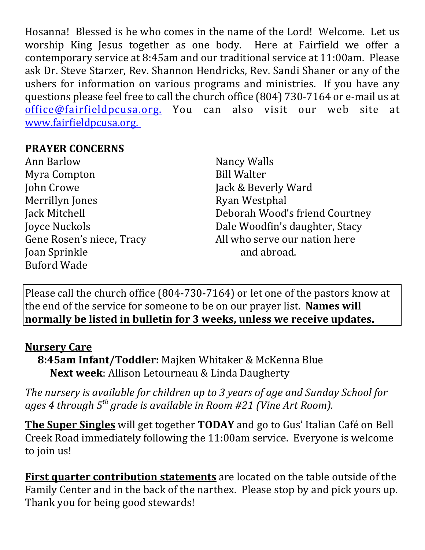Hosanna! Blessed is he who comes in the name of the Lord! Welcome. Let us worship King Jesus together as one body. Here at Fairfield we offer a contemporary service at 8:45am and our traditional service at 11:00am. Please ask Dr. Steve Starzer, Rev. Shannon Hendricks, Rev. Sandi Shaner or any of the ushers for information on various programs and ministries. If you have any questions please feel free to call the church office (804) 730-7164 or e-mail us at office@fairfieldpcusa.org. You can also visit our web site at www.fairfieldpcusa.org.

## **PRAYER CONCERNS**

Ann Barlow Myra Compton John Crowe Merrillyn Jones Jack Mitchell Joyce Nuckols Gene Rosen's niece, Tracy Joan Sprinkle Buford Wade

Nancy Walls Bill Walter Jack & Beverly Ward Ryan Westphal Deborah Wood's friend Courtney Dale Woodfin's daughter, Stacy All who serve our nation here and abroad.

Please call the church office (804-730-7164) or let one of the pastors know at the end of the service for someone to be on our prayer list. **Names will normally be listed in bulletin for 3 weeks, unless we receive updates.**

## **Nursery Care**

**8:45am Infant/Toddler:** Majken Whitaker & McKenna Blue **Next week**: Allison Letourneau & Linda Daugherty

*The nursery is available for children up to 3 years of age and Sunday School for ages 4 through 5th grade is available in Room #21 (Vine Art Room).*

**The Super Singles** will get together **TODAY** and go to Gus' Italian Café on Bell Creek Road immediately following the 11:00am service. Everyone is welcome to join us!

**First quarter contribution statements** are located on the table outside of the Family Center and in the back of the narthex. Please stop by and pick yours up. Thank you for being good stewards!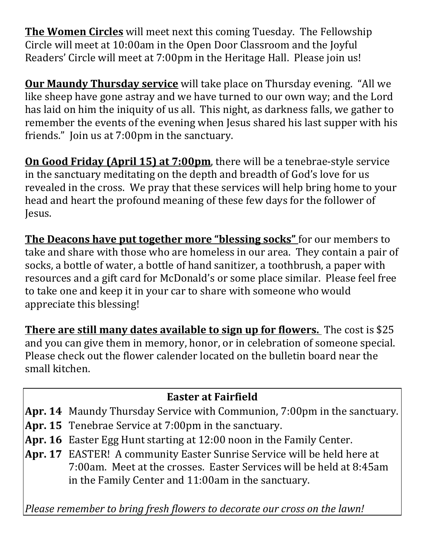**The Women Circles** will meet next this coming Tuesday. The Fellowship Circle will meet at 10:00am in the Open Door Classroom and the Joyful Readers' Circle will meet at 7:00pm in the Heritage Hall. Please join us!

**Our Maundy Thursday service** will take place on Thursday evening. "All we like sheep have gone astray and we have turned to our own way; and the Lord has laid on him the iniquity of us all. This night, as darkness falls, we gather to remember the events of the evening when Jesus shared his last supper with his friends." Join us at 7:00pm in the sanctuary.

**On Good Friday (April 15) at 7:00pm**, there will be a tenebrae-style service in the sanctuary meditating on the depth and breadth of God's love for us revealed in the cross. We pray that these services will help bring home to your head and heart the profound meaning of these few days for the follower of Jesus.

**The Deacons have put together more "blessing socks"** for our members to take and share with those who are homeless in our area. They contain a pair of socks, a bottle of water, a bottle of hand sanitizer, a toothbrush, a paper with resources and a gift card for McDonald's or some place similar. Please feel free to take one and keep it in your car to share with someone who would appreciate this blessing!

**There are still many dates available to sign up for flowers.** The cost is \$25 and you can give them in memory, honor, or in celebration of someone special. Please check out the flower calender located on the bulletin board near the small kitchen.

## **Easter at Fairfield**

- **Apr. 14** Maundy Thursday Service with Communion, 7:00pm in the sanctuary.
- **Apr. 15** Tenebrae Service at 7:00pm in the sanctuary.
- **Apr. 16** Easter Egg Hunt starting at 12:00 noon in the Family Center.
- **Apr. 17** EASTER! A community Easter Sunrise Service will be held here at 7:00am. Meet at the crosses. Easter Services will be held at 8:45am in the Family Center and 11:00am in the sanctuary.

*Please remember to bring fresh flowers to decorate our cross on the lawn!*